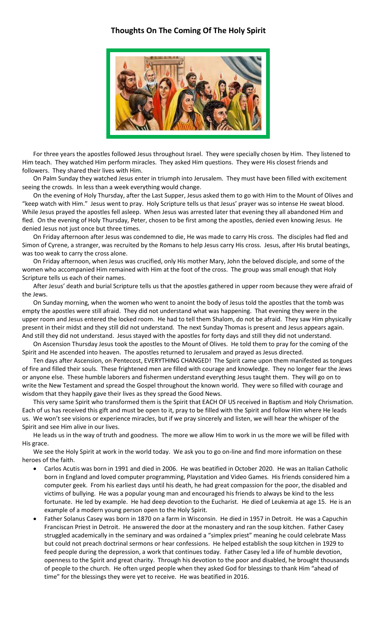## **Thoughts On The Coming Of The Holy Spirit**



For three years the apostles followed Jesus throughout Israel. They were specially chosen by Him. They listened to Him teach. They watched Him perform miracles. They asked Him questions. They were His closest friends and followers. They shared their lives with Him.

On Palm Sunday they watched Jesus enter in triumph into Jerusalem. They must have been filled with excitement seeing the crowds. In less than a week everything would change.

On the evening of Holy Thursday, after the Last Supper, Jesus asked them to go with Him to the Mount of Olives and "keep watch with Him." Jesus went to pray. Holy Scripture tells us that Jesus' prayer was so intense He sweat blood. While Jesus prayed the apostles fell asleep. When Jesus was arrested later that evening they all abandoned Him and fled. On the evening of Holy Thursday, Peter, chosen to be first among the apostles, denied even knowing Jesus. He denied Jesus not just once but three times.

On Friday afternoon after Jesus was condemned to die, He was made to carry His cross. The disciples had fled and Simon of Cyrene, a stranger, was recruited by the Romans to help Jesus carry His cross. Jesus, after His brutal beatings, was too weak to carry the cross alone.

On Friday afternoon, when Jesus was crucified, only His mother Mary, John the beloved disciple, and some of the women who accompanied Him remained with Him at the foot of the cross. The group was small enough that Holy Scripture tells us each of their names.

After Jesus' death and burial Scripture tells us that the apostles gathered in upper room because they were afraid of the Jews.

On Sunday morning, when the women who went to anoint the body of Jesus told the apostles that the tomb was empty the apostles were still afraid. They did not understand what was happening. That evening they were in the upper room and Jesus entered the locked room. He had to tell them Shalom, do not be afraid. They saw Him physically present in their midst and they still did not understand. The next Sunday Thomas is present and Jesus appears again. And still they did not understand. Jesus stayed with the apostles for forty days and still they did not understand.

On Ascension Thursday Jesus took the apostles to the Mount of Olives. He told them to pray for the coming of the Spirit and He ascended into heaven. The apostles returned to Jerusalem and prayed as Jesus directed.

Ten days after Ascension, on Pentecost, EVERYTHING CHANGED! The Spirit came upon them manifested as tongues of fire and filled their souls. These frightened men are filled with courage and knowledge. They no longer fear the Jews or anyone else. These humble laborers and fishermen understand everything Jesus taught them. They will go on to write the New Testament and spread the Gospel throughout the known world. They were so filled with courage and wisdom that they happily gave their lives as they spread the Good News.

This very same Spirit who transformed them is the Spirit that EACH OF US received in Baptism and Holy Chrismation. Each of us has received this gift and must be open to it, pray to be filled with the Spirit and follow Him where He leads us. We won't see visions or experience miracles, but if we pray sincerely and listen, we will hear the whisper of the Spirit and see Him alive in our lives.

He leads us in the way of truth and goodness. The more we allow Him to work in us the more we will be filled with His grace.

We see the Holy Spirit at work in the world today. We ask you to go on-line and find more information on these heroes of the faith.

- Carlos Acutis was born in 1991 and died in 2006. He was beatified in October 2020. He was an Italian Catholic born in England and loved computer programming, Playstation and Video Games. His friends considered him a computer geek. From his earliest days until his death, he had great compassion for the poor, the disabled and victims of bullying. He was a popular young man and encouraged his friends to always be kind to the less fortunate. He led by example. He had deep devotion to the Eucharist. He died of Leukemia at age 15. He is an example of a modern young person open to the Holy Spirit.
- Father Solanus Casey was born in 1870 on a farm in Wisconsin. He died in 1957 in Detroit. He was a Capuchin Franciscan Priest in Detroit. He answered the door at the monastery and ran the soup kitchen. Father Casey struggled academically in the seminary and was ordained a "simplex priest" meaning he could celebrate Mass but could not preach doctrinal sermons or hear confessions. He helped establish the soup kitchen in 1929 to feed people during the depression, a work that continues today. Father Casey led a life of humble devotion, openness to the Spirit and great charity. Through his devotion to the poor and disabled, he brought thousands of people to the church. He often urged people when they asked God for blessings to thank Him "ahead of time" for the blessings they were yet to receive. He was beatified in 2016.